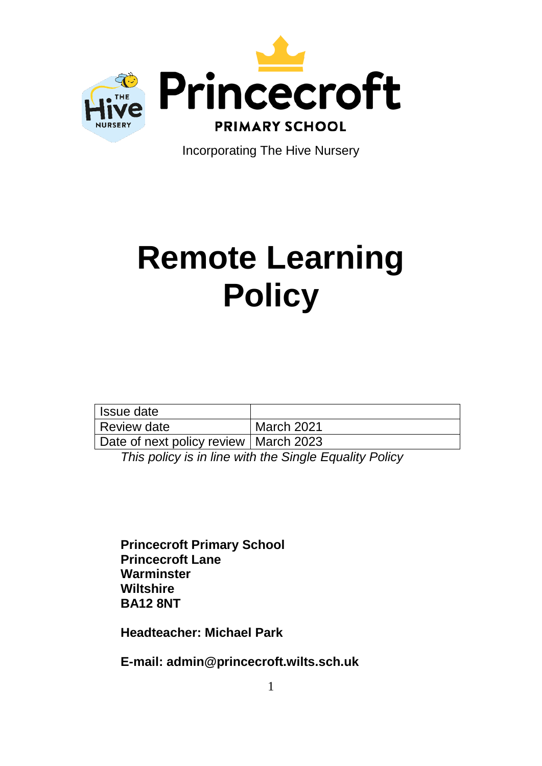

Incorporating The Hive Nursery

# **Remote Learning Policy**

| Issue date                              |            |
|-----------------------------------------|------------|
| Review date                             | March 2021 |
| Date of next policy review   March 2023 |            |

*This policy is in line with the Single Equality Policy*

**Princecroft Primary School Princecroft Lane Warminster Wiltshire BA12 8NT**

**Headteacher: Michael Park**

**E-mail: admin@princecroft.wilts.sch.uk**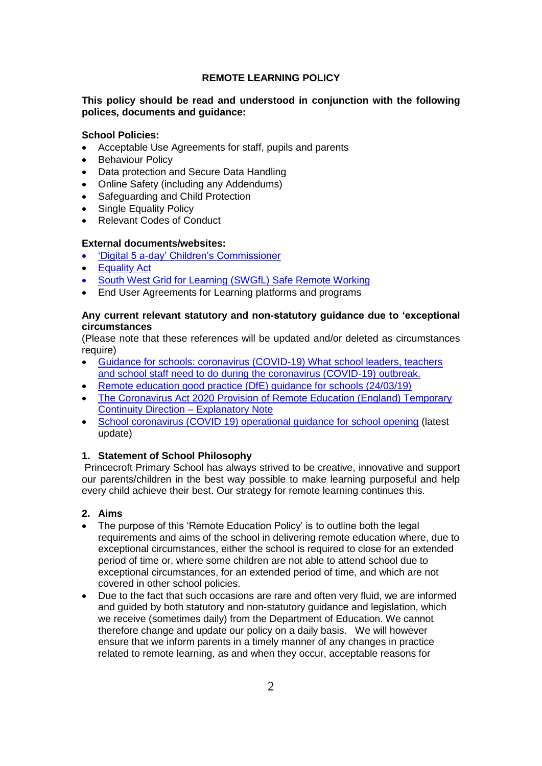# **REMOTE LEARNING POLICY**

# **This policy should be read and understood in conjunction with the following polices, documents and guidance:**

#### **School Policies:**

- Acceptable Use Agreements for staff, pupils and parents
- Behaviour Policy
- Data protection and Secure Data Handling
- Online Safety (including any Addendums)
- Safeguarding and Child Protection
- Single Equality Policy
- Relevant Codes of Conduct

## **External documents/websites:**

- ['Digital 5 a-day' Children's Commissioner](https://www.childrenscommissioner.gov.uk/digital/5-a-day/)
- Equality Act
- [South West Grid for Learning \(SWGfL\) Safe Remote Working](https://swgfl.org.uk/resources/safe-remote-learning/#policy)
- End User Agreements for Learning platforms and programs

# **Any current relevant statutory and non-statutory guidance due to 'exceptional circumstances**

(Please note that these references will be updated and/or deleted as circumstances require)

- [Guidance for schools: coronavirus \(COVID-19\)](https://www.gov.uk/government/collections/guidance-for-schools-coronavirus-covid-19) What school leaders, teachers [and school staff need to do during the coronavirus \(COVID-19\) outbreak.](https://www.gov.uk/government/collections/guidance-for-schools-coronavirus-covid-19)
- Remote education good practice (DfE) guidance for schools (24/03/19)
- The Coronavirus Act 2020 Provision of Remote Education (England) Temporary Continuity Direction – Explanatory Note
- [School coronavirus \(COVID 19\) operational guidance for school opening](https://www.gov.uk/government/publications/actions-for-schools-during-the-coronavirus-outbreak/schools-coronavirus-covid-19-operational-guidance#remote-education) (latest update)

# **1. Statement of School Philosophy**

Princecroft Primary School has always strived to be creative, innovative and support our parents/children in the best way possible to make learning purposeful and help every child achieve their best. Our strategy for remote learning continues this.

# **2. Aims**

- The purpose of this 'Remote Education Policy' is to outline both the legal requirements and aims of the school in delivering remote education where, due to exceptional circumstances, either the school is required to close for an extended period of time or, where some children are not able to attend school due to exceptional circumstances, for an extended period of time, and which are not covered in other school policies.
- Due to the fact that such occasions are rare and often very fluid, we are informed and guided by both statutory and non-statutory guidance and legislation, which we receive (sometimes daily) from the Department of Education. We cannot therefore change and update our policy on a daily basis. We will however ensure that we inform parents in a timely manner of any changes in practice related to remote learning, as and when they occur, acceptable reasons for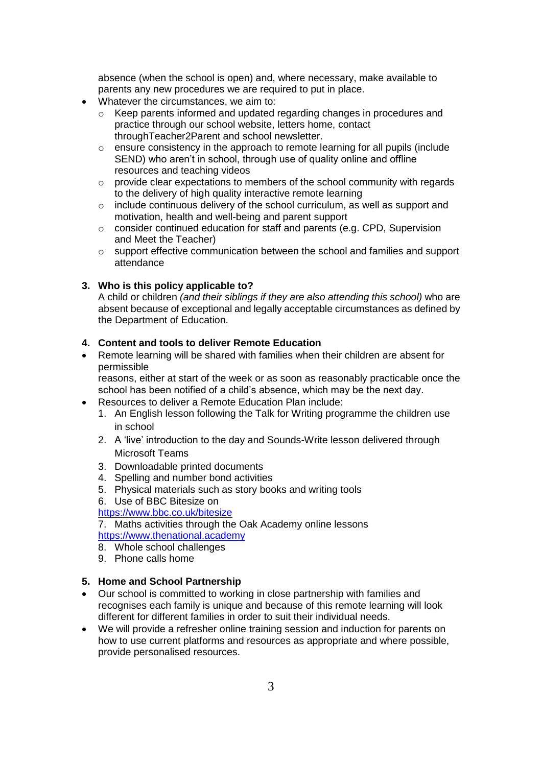absence (when the school is open) and, where necessary, make available to parents any new procedures we are required to put in place.

- Whatever the circumstances, we aim to:
	- o Keep parents informed and updated regarding changes in procedures and practice through our school website, letters home, contact throughTeacher2Parent and school newsletter.
	- $\circ$  ensure consistency in the approach to remote learning for all pupils (include SEND) who aren't in school, through use of quality online and offline resources and teaching videos
	- o provide clear expectations to members of the school community with regards to the delivery of high quality interactive remote learning
	- o include continuous delivery of the school curriculum, as well as support and motivation, health and well-being and parent support
	- $\circ$  consider continued education for staff and parents (e.g. CPD, Supervision and Meet the Teacher)
	- o support effective communication between the school and families and support attendance

#### **3. Who is this policy applicable to?**

A child or children *(and their siblings if they are also attending this school)* who are absent because of exceptional and legally acceptable circumstances as defined by the Department of Education.

# **4. Content and tools to deliver Remote Education**

 Remote learning will be shared with families when their children are absent for permissible

reasons, either at start of the week or as soon as reasonably practicable once the school has been notified of a child's absence, which may be the next day.

- Resources to deliver a Remote Education Plan include:
	- 1. An English lesson following the Talk for Writing programme the children use in school
	- 2. A 'live' introduction to the day and Sounds-Write lesson delivered through Microsoft Teams
	- 3. Downloadable printed documents
	- 4. Spelling and number bond activities
	- 5. Physical materials such as story books and writing tools
	- 6. Use of BBC Bitesize on

<https://www.bbc.co.uk/bitesize>

7. Maths activities through the Oak Academy online lessons [https://www.thenational.academy](https://www.thenational.academy/)

- 8. Whole school challenges
- 9. Phone calls home

#### **5. Home and School Partnership**

- Our school is committed to working in close partnership with families and recognises each family is unique and because of this remote learning will look different for different families in order to suit their individual needs.
- We will provide a refresher online training session and induction for parents on how to use current platforms and resources as appropriate and where possible, provide personalised resources.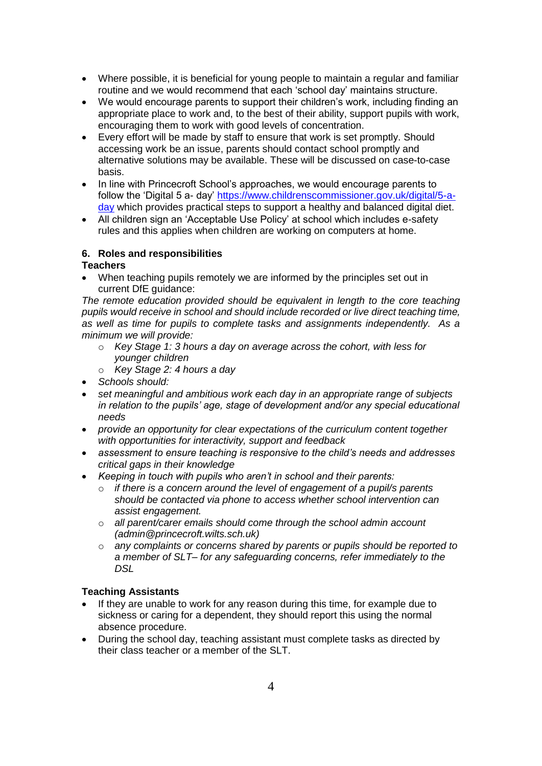- Where possible, it is beneficial for young people to maintain a regular and familiar routine and we would recommend that each 'school day' maintains structure.
- We would encourage parents to support their children's work, including finding an appropriate place to work and, to the best of their ability, support pupils with work, encouraging them to work with good levels of concentration.
- Every effort will be made by staff to ensure that work is set promptly. Should accessing work be an issue, parents should contact school promptly and alternative solutions may be available. These will be discussed on case-to-case basis.
- In line with Princecroft School's approaches, we would encourage parents to follow the 'Digital 5 a- day' [https://www.childrenscommissioner.gov.uk/digital/5-a](https://www.childrenscommissioner.gov.uk/digital/5-a-day)[day](https://www.childrenscommissioner.gov.uk/digital/5-a-day) which provides practical steps to support a healthy and balanced digital diet.
- All children sign an 'Acceptable Use Policy' at school which includes e-safety rules and this applies when children are working on computers at home.

## **6. Roles and responsibilities**

## **Teachers**

• When teaching pupils remotely we are informed by the principles set out in current DfE guidance:

The remote education provided should be equivalent in length to the core teaching *pupils would receive in school and should include recorded or live direct teaching time, as well as time for pupils to complete tasks and assignments independently. As a minimum we will provide:*

- o *Key Stage 1: 3 hours a day on average across the cohort, with less for younger children*
- o *Key Stage 2: 4 hours a day*
- *Schools should:*
- *set meaningful and ambitious work each day in an appropriate range of subjects in relation to the pupils' age, stage of development and/or any special educational needs*
- *provide an opportunity for clear expectations of the curriculum content together with opportunities for interactivity, support and feedback*
- *assessment to ensure teaching is responsive to the child's needs and addresses critical gaps in their knowledge*
- *Keeping in touch with pupils who aren't in school and their parents:*
	- o *if there is a concern around the level of engagement of a pupil/s parents should be contacted via phone to access whether school intervention can assist engagement.*
	- o *all parent/carer emails should come through the school admin account (admin@princecroft.wilts.sch.uk)*
	- o *any complaints or concerns shared by parents or pupils should be reported to a member of SLT– for any safeguarding concerns, refer immediately to the DSL*

#### **Teaching Assistants**

- If they are unable to work for any reason during this time, for example due to sickness or caring for a dependent, they should report this using the normal absence procedure.
- During the school day, teaching assistant must complete tasks as directed by their class teacher or a member of the SLT.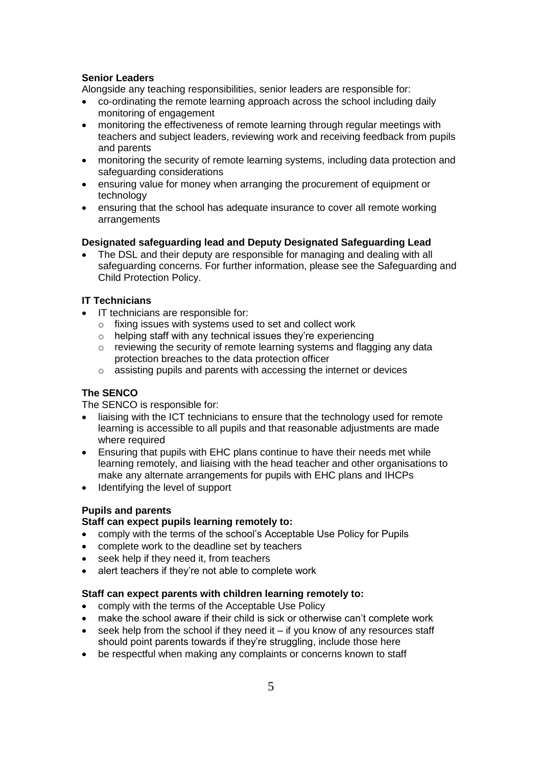# **Senior Leaders**

Alongside any teaching responsibilities, senior leaders are responsible for:

- co-ordinating the remote learning approach across the school including daily monitoring of engagement
- monitoring the effectiveness of remote learning through regular meetings with teachers and subject leaders, reviewing work and receiving feedback from pupils and parents
- monitoring the security of remote learning systems, including data protection and safeguarding considerations
- ensuring value for money when arranging the procurement of equipment or technology
- ensuring that the school has adequate insurance to cover all remote working arrangements

## **Designated safeguarding lead and Deputy Designated Safeguarding Lead**

 The DSL and their deputy are responsible for managing and dealing with all safeguarding concerns. For further information, please see the Safeguarding and Child Protection Policy.

## **IT Technicians**

- IT technicians are responsible for:
	- o fixing issues with systems used to set and collect work
	- $\circ$  helping staff with any technical issues they're experiencing
	- o reviewing the security of remote learning systems and flagging any data protection breaches to the data protection officer
	- o assisting pupils and parents with accessing the internet or devices

#### **The SENCO**

The SENCO is responsible for:

- liaising with the ICT technicians to ensure that the technology used for remote learning is accessible to all pupils and that reasonable adjustments are made where required
- Ensuring that pupils with EHC plans continue to have their needs met while learning remotely, and liaising with the head teacher and other organisations to make any alternate arrangements for pupils with EHC plans and IHCPs
- Identifying the level of support

#### **Pupils and parents**

#### **Staff can expect pupils learning remotely to:**

- comply with the terms of the school's Acceptable Use Policy for Pupils
- complete work to the deadline set by teachers
- seek help if they need it, from teachers
- alert teachers if they're not able to complete work

## **Staff can expect parents with children learning remotely to:**

- comply with the terms of the Acceptable Use Policy
- make the school aware if their child is sick or otherwise can't complete work
- $\bullet$  seek help from the school if they need it if you know of any resources staff should point parents towards if they're struggling, include those here
- be respectful when making any complaints or concerns known to staff